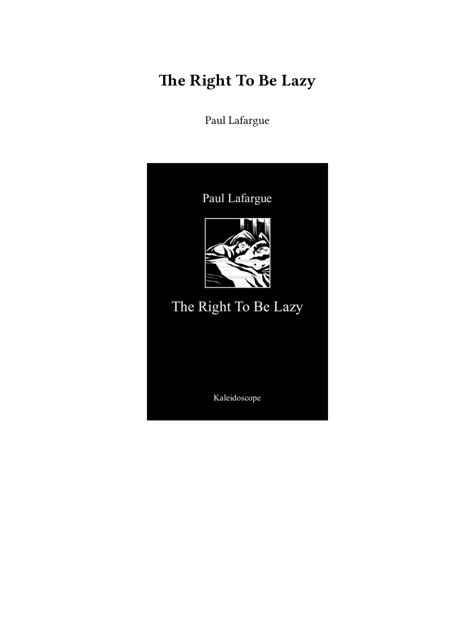# **The Right To Be Lazy**

Paul Lafargue

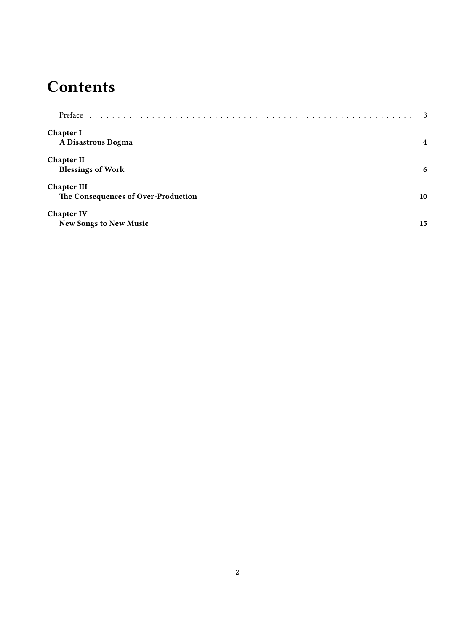#### **Contents**

| Preface                             | -3                      |
|-------------------------------------|-------------------------|
| Chapter I<br>A Disastrous Dogma     | $\overline{\mathbf{4}}$ |
|                                     |                         |
| <b>Chapter II</b>                   |                         |
| <b>Blessings of Work</b>            | 6                       |
| <b>Chapter III</b>                  |                         |
| The Consequences of Over-Production | 10                      |
| <b>Chapter IV</b>                   |                         |
| <b>New Songs to New Music</b>       | 15                      |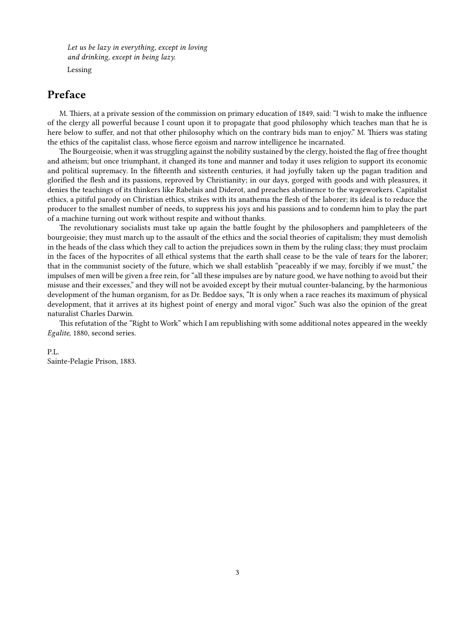*Let us be lazy in everything, except in loving and drinking, except in being lazy.* Lessing

#### <span id="page-2-0"></span>**Preface**

M. Thiers, at a private session of the commission on primary education of 1849, said: "I wish to make the influence of the clergy all powerful because I count upon it to propagate that good philosophy which teaches man that he is here below to suffer, and not that other philosophy which on the contrary bids man to enjoy." M. Thiers was stating the ethics of the capitalist class, whose fierce egoism and narrow intelligence he incarnated.

The Bourgeoisie, when it was struggling against the nobility sustained by the clergy, hoisted the flag of free thought and atheism; but once triumphant, it changed its tone and manner and today it uses religion to support its economic and political supremacy. In the fifteenth and sixteenth centuries, it had joyfully taken up the pagan tradition and glorified the flesh and its passions, reproved by Christianity; in our days, gorged with goods and with pleasures, it denies the teachings of its thinkers like Rabelais and Diderot, and preaches abstinence to the wageworkers. Capitalist ethics, a pitiful parody on Christian ethics, strikes with its anathema the flesh of the laborer; its ideal is to reduce the producer to the smallest number of needs, to suppress his joys and his passions and to condemn him to play the part of a machine turning out work without respite and without thanks.

The revolutionary socialists must take up again the battle fought by the philosophers and pamphleteers of the bourgeoisie; they must march up to the assault of the ethics and the social theories of capitalism; they must demolish in the heads of the class which they call to action the prejudices sown in them by the ruling class; they must proclaim in the faces of the hypocrites of all ethical systems that the earth shall cease to be the vale of tears for the laborer; that in the communist society of the future, which we shall establish "peaceably if we may, forcibly if we must," the impulses of men will be given a free rein, for "all these impulses are by nature good, we have nothing to avoid but their misuse and their excesses," and they will not be avoided except by their mutual counter-balancing, by the harmonious development of the human organism, for as Dr. Beddoe says, "It is only when a race reaches its maximum of physical development, that it arrives at its highest point of energy and moral vigor." Such was also the opinion of the great naturalist Charles Darwin.

This refutation of the "Right to Work" which I am republishing with some additional notes appeared in the weekly *Egalite*, 1880, second series.

#### P.L.

Sainte-Pelagie Prison, 1883.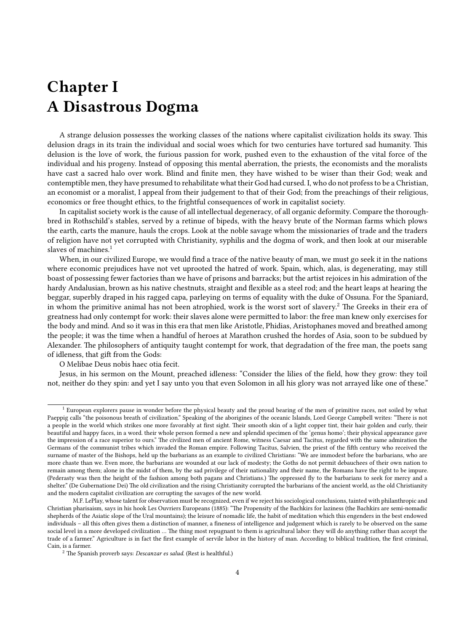#### <span id="page-3-0"></span>**Chapter I A Disastrous Dogma**

A strange delusion possesses the working classes of the nations where capitalist civilization holds its sway. This delusion drags in its train the individual and social woes which for two centuries have tortured sad humanity. This delusion is the love of work, the furious passion for work, pushed even to the exhaustion of the vital force of the individual and his progeny. Instead of opposing this mental aberration, the priests, the economists and the moralists have cast a sacred halo over work. Blind and finite men, they have wished to be wiser than their God; weak and contemptible men, they have presumed to rehabilitate what their God had cursed. I, who do not profess to be a Christian, an economist or a moralist, I appeal from their judgement to that of their God; from the preachings of their religious, economics or free thought ethics, to the frightful consequences of work in capitalist society.

In capitalist society work is the cause of all intellectual degeneracy, of all organic deformity. Compare the thoroughbred in Rothschild's stables, served by a retinue of bipeds, with the heavy brute of the Norman farms which plows the earth, carts the manure, hauls the crops. Look at the noble savage whom the missionaries of trade and the traders of religion have not yet corrupted with Christianity, syphilis and the dogma of work, and then look at our miserable slaves of machines.<sup>1</sup>

When, in our civilized Europe, we would find a trace of the native beauty of man, we must go seek it in the nations where economic prejudices have not vet uprooted the hatred of work. Spain, which, alas, is degenerating, may still boast of possessing fewer factories than we have of prisons and barracks; but the artist rejoices in his admiration of the hardy Andalusian, brown as his native chestnuts, straight and flexible as a steel rod; and the heart leaps at hearing the beggar, superbly draped in his ragged capa, parleying on terms of equality with the duke of Ossuna. For the Spaniard, in whom the primitive animal has not been atrophied, work is the worst sort of slavery.<sup>2</sup> The Greeks in their era of greatness had only contempt for work: their slaves alone were permitted to labor: the free man knew only exercises for the body and mind. And so it was in this era that men like Aristotle, Phidias, Aristophanes moved and breathed among the people; it was the time when a handful of heroes at Marathon crushed the hordes of Asia, soon to be subdued by Alexander. The philosophers of antiquity taught contempt for work, that degradation of the free man, the poets sang of idleness, that gift from the Gods:

O Melibae Deus nobis haec otia fecit.

Jesus, in his sermon on the Mount, preached idleness: "Consider the lilies of the field, how they grow: they toil not, neither do they spin: and yet I say unto you that even Solomon in all his glory was not arrayed like one of these."

<sup>&</sup>lt;sup>1</sup> European explorers pause in wonder before the physical beauty and the proud bearing of the men of primitive races, not soiled by what Paeppig calls "the poisonous breath of civilization." Speaking of the aborigines of the oceanic Islands, Lord George Campbell writes: "There is not a people in the world which strikes one more favorably at first sight. Their smooth skin of a light copper tint, their hair golden and curly, their beautiful and happy faces, in a word. their whole person formed a new and splendid specimen of the 'genus homo'; their physical appearance gave the impression of a race superior to ours." The civilized men of ancient Rome, witness Caesar and Tacitus, regarded with the same admiration the Germans of the communist tribes which invaded the Roman empire. Following Tacitus, Salvien, the priest of the fifth century who received the surname of master of the Bishops, held up the barbarians as an example to civilized Christians: "We are immodest before the barbarians, who are more chaste than we. Even more, the barbarians are wounded at our lack of modesty; the Goths do not permit debauchees of their own nation to remain among them; alone in the midst of them, by the sad privilege of their nationality and their name, the Romans have the right to be impure. (Pederasty was then the height of the fashion among both pagans and Christians.) The oppressed fly to the barbarians to seek for mercy and a shelter." (De Gubernatione Dei) The old civilization and the rising Christianity corrupted the barbarians of the ancient world, as the old Christianity and the modern capitalist civilization are corrupting the savages of the new world.

M.F. LePlay, whose talent for observation must be recognized, even if we reject his sociological conclusions, tainted with philanthropic and Christian pharisaism, says in his hook Les Ouvriers Europeans (1885): "The Propensity of the Bachkirs for laziness (the Bachkirs are semi-nomadic shepherds of the Asiatic slope of the Ural mountains); the leisure of nomadic life, the habit of meditation which this engenders in the best endowed individuals – all this often gives them a distinction of manner, a fineness of intelligence and judgement which is rarely to be observed on the same social level in a more developed civilization … The thing most repugnant to them is agricultural labor: they will do anything rather than accept the trade of a farmer." Agriculture is in fact the first example of servile labor in the history of man. According to biblical tradition, the first criminal, Cain, is a farmer.

<sup>2</sup> The Spanish proverb says: *Descanzar es salud.* (Rest is healthful.)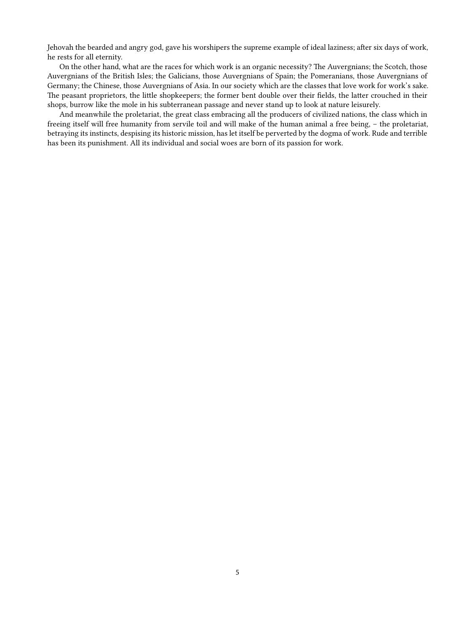Jehovah the bearded and angry god, gave his worshipers the supreme example of ideal laziness; after six days of work, he rests for all eternity.

On the other hand, what are the races for which work is an organic necessity? The Auvergnians; the Scotch, those Auvergnians of the British Isles; the Galicians, those Auvergnians of Spain; the Pomeranians, those Auvergnians of Germany; the Chinese, those Auvergnians of Asia. In our society which are the classes that love work for work's sake. The peasant proprietors, the little shopkeepers; the former bent double over their fields, the latter crouched in their shops, burrow like the mole in his subterranean passage and never stand up to look at nature leisurely.

And meanwhile the proletariat, the great class embracing all the producers of civilized nations, the class which in freeing itself will free humanity from servile toil and will make of the human animal a free being, – the proletariat, betraying its instincts, despising its historic mission, has let itself be perverted by the dogma of work. Rude and terrible has been its punishment. All its individual and social woes are born of its passion for work.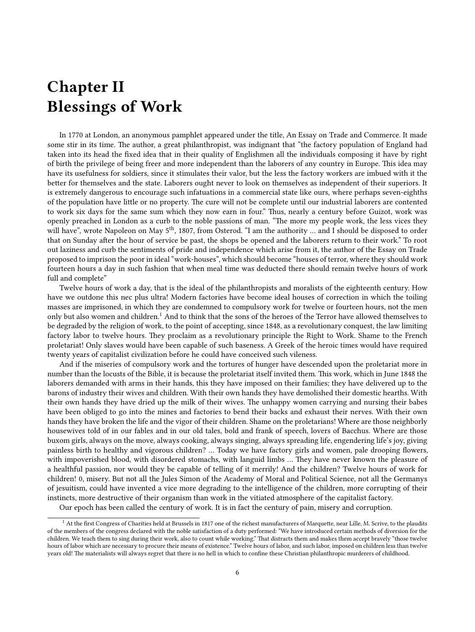### <span id="page-5-0"></span>**Chapter II Blessings of Work**

In 1770 at London, an anonymous pamphlet appeared under the title, An Essay on Trade and Commerce. It made some stir in its time. The author, a great philanthropist, was indignant that "the factory population of England had taken into its head the fixed idea that in their quality of Englishmen all the individuals composing it have by right of birth the privilege of being freer and more independent than the laborers of any country in Europe. This idea may have its usefulness for soldiers, since it stimulates their valor, but the less the factory workers are imbued with it the better for themselves and the state. Laborers ought never to look on themselves as independent of their superiors. It is extremely dangerous to encourage such infatuations in a commercial state like ours, where perhaps seven-eighths of the population have little or no property. The cure will not be complete until our industrial laborers are contented to work six days for the same sum which they now earn in four." Thus, nearly a century before Guizot, work was openly preached in London as a curb to the noble passions of man. "The more my people work, the less vices they will have", wrote Napoleon on May 5<sup>th</sup>, 1807, from Osterod. "I am the authority ... and I should be disposed to order that on Sunday after the hour of service be past, the shops be opened and the laborers return to their work." To root out laziness and curb the sentiments of pride and independence which arise from it, the author of the Essay on Trade proposed to imprison the poor in ideal "work-houses", which should become "houses of terror, where they should work fourteen hours a day in such fashion that when meal time was deducted there should remain twelve hours of work full and complete"

Twelve hours of work a day, that is the ideal of the philanthropists and moralists of the eighteenth century. How have we outdone this nec plus ultra! Modern factories have become ideal houses of correction in which the toiling masses are imprisoned, in which they are condemned to compulsory work for twelve or fourteen hours, not the men only but also women and children.<sup>1</sup> And to think that the sons of the heroes of the Terror have allowed themselves to be degraded by the religion of work, to the point of accepting, since 1848, as a revolutionary conquest, the law limiting factory labor to twelve hours. They proclaim as a revolutionary principle the Right to Work. Shame to the French proletariat! Only slaves would have been capable of such baseness. A Greek of the heroic times would have required twenty years of capitalist civilization before he could have conceived such vileness.

And if the miseries of compulsory work and the tortures of hunger have descended upon the proletariat more in number than the locusts of the Bible, it is because the proletariat itself invited them. This work, which in June 1848 the laborers demanded with arms in their hands, this they have imposed on their families; they have delivered up to the barons of industry their wives and children. With their own hands they have demolished their domestic hearths. With their own hands they have dried up the milk of their wives. The unhappy women carrying and nursing their babes have been obliged to go into the mines and factories to bend their backs and exhaust their nerves. With their own hands they have broken the life and the vigor of their children. Shame on the proletarians! Where are those neighborly housewives told of in our fables and in our old tales, bold and frank of speech, lovers of Bacchus. Where are those buxom girls, always on the move, always cooking, always singing, always spreading life, engendering life's joy, giving painless birth to healthy and vigorous children? … Today we have factory girls and women, pale drooping flowers, with impoverished blood, with disordered stomachs, with languid limbs … They have never known the pleasure of a healthful passion, nor would they be capable of telling of it merrily! And the children? Twelve hours of work for children! 0, misery. But not all the Jules Simon of the Academy of Moral and Political Science, not all the Germanys of jesuitism, could have invented a vice more degrading to the intelligence of the children, more corrupting of their instincts, more destructive of their organism than work in the vitiated atmosphere of the capitalist factory.

Our epoch has been called the century of work. It is in fact the century of pain, misery and corruption.

<sup>&</sup>lt;sup>1</sup> At the first Congress of Charities held at Brussels in 1817 one of the richest manufacturers of Marquette, near Lille, M. Scrive, to the plaudits of the members of the congress declared with the noble satisfaction of a duty performed: "We have introduced certain methods of diversion for the children. We teach them to sing during their work, also to count while working." That distracts them and makes them accept bravely "those twelve hours of labor which are necessary to procure their means of existence." Twelve hours of labor, and such labor, imposed on children less than twelve years old! The materialists will always regret that there is no hell in which to confine these Christian philanthropic murderers of childhood.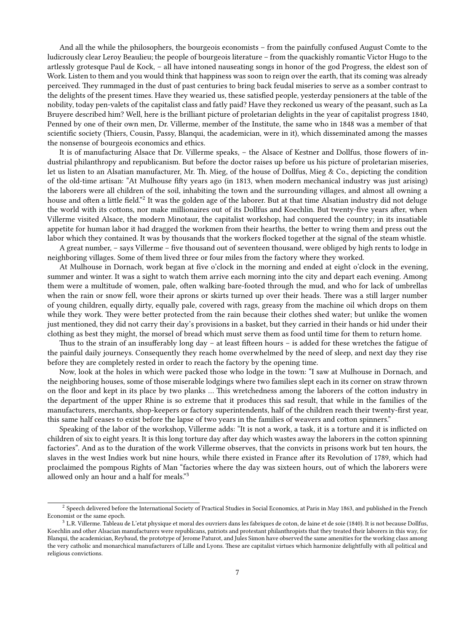And all the while the philosophers, the bourgeois economists – from the painfully confused August Comte to the ludicrously clear Leroy Beaulieu; the people of bourgeois literature – from the quackishly romantic Victor Hugo to the artlessly grotesque Paul de Kock, – all have intoned nauseating songs in honor of the god Progress, the eldest son of Work. Listen to them and you would think that happiness was soon to reign over the earth, that its coming was already perceived. They rummaged in the dust of past centuries to bring back feudal miseries to serve as a somber contrast to the delights of the present times. Have they wearied us, these satisfied people, yesterday pensioners at the table of the nobility, today pen-valets of the capitalist class and fatly paid? Have they reckoned us weary of the peasant, such as La Bruyere described him? Well, here is the brilliant picture of proletarian delights in the year of capitalist progress 1840, Penned by one of their own men, Dr. Villerme, member of the Institute, the same who in 1848 was a member of that scientific society (Thiers, Cousin, Passy, Blanqui, the academician, were in it), which disseminated among the masses the nonsense of bourgeois economics and ethics.

It is of manufacturing Alsace that Dr. Villerme speaks, – the Alsace of Kestner and Dollfus, those flowers of industrial philanthropy and republicanism. But before the doctor raises up before us his picture of proletarian miseries, let us listen to an Alsatian manufacturer, Mr. Th. Mieg, of the house of Dollfus, Mieg & Co., depicting the condition of the old-time artisan: "At Mulhouse fifty years ago (in 1813, when modern mechanical industry was just arising) the laborers were all children of the soil, inhabiting the town and the surrounding villages, and almost all owning a house and often a little field."<sup>2</sup> It was the golden age of the laborer. But at that time Alsatian industry did not deluge the world with its cottons, nor make millionaires out of its Dollfus and Koechlin. But twenty-five years after, when Villerme visited Alsace, the modern Minotaur, the capitalist workshop, had conquered the country; in its insatiable appetite for human labor it had dragged the workmen from their hearths, the better to wring them and press out the labor which they contained. It was by thousands that the workers flocked together at the signal of the steam whistle.

A great number, – says Villerme – five thousand out of seventeen thousand, were obliged by high rents to lodge in neighboring villages. Some of them lived three or four miles from the factory where they worked.

At Mulhouse in Dornach, work began at five o'clock in the morning and ended at eight o'clock in the evening, summer and winter. It was a sight to watch them arrive each morning into the city and depart each evening. Among them were a multitude of women, pale, often walking bare-footed through the mud, and who for lack of umbrellas when the rain or snow fell, wore their aprons or skirts turned up over their heads. There was a still larger number of young children, equally dirty, equally pale, covered with rags, greasy from the machine oil which drops on them while they work. They were better protected from the rain because their clothes shed water; but unlike the women just mentioned, they did not carry their day's provisions in a basket, but they carried in their hands or hid under their clothing as best they might, the morsel of bread which must serve them as food until time for them to return home.

Thus to the strain of an insufferably long day – at least fifteen hours – is added for these wretches the fatigue of the painful daily journeys. Consequently they reach home overwhelmed by the need of sleep, and next day they rise before they are completely rested in order to reach the factory by the opening time.

Now, look at the holes in which were packed those who lodge in the town: "I saw at Mulhouse in Dornach, and the neighboring houses, some of those miserable lodgings where two families slept each in its corner on straw thrown on the floor and kept in its place by two planks … This wretchedness among the laborers of the cotton industry in the department of the upper Rhine is so extreme that it produces this sad result, that while in the families of the manufacturers, merchants, shop-keepers or factory superintendents, half of the children reach their twenty-first year, this same half ceases to exist before the lapse of two years in the families of weavers and cotton spinners."

Speaking of the labor of the workshop, Villerme adds: "It is not a work, a task, it is a torture and it is inflicted on children of six to eight years. It is this long torture day after day which wastes away the laborers in the cotton spinning factories". And as to the duration of the work Villerme observes, that the convicts in prisons work but ten hours, the slaves in the west Indies work but nine hours, while there existed in France after its Revolution of 1789, which had proclaimed the pompous Rights of Man "factories where the day was sixteen hours, out of which the laborers were allowed only an hour and a half for meals."<sup>3</sup>

 $^2$  Speech delivered before the International Society of Practical Studies in Social Economics, at Paris in May 1863, and published in the French Economist or the same epoch.

 $3$  L.R. Villerme. Tableau de L'etat physique et moral des ouvriers dans les fabriques de coton, de laine et de soie (1840). It is not because Dollfus, Koechlin and other Alsacian manufacturers were republicans, patriots and protestant philanthropists that they treated their laborers in this way, for Blanqui, the academician, Reybaud, the prototype of Jerome Paturot, and Jules Simon have observed the same amenities for the working class among the very catholic and monarchical manufacturers of Lille and Lyons. These are capitalist virtues which harmonize delightfully with all political and religious convictions.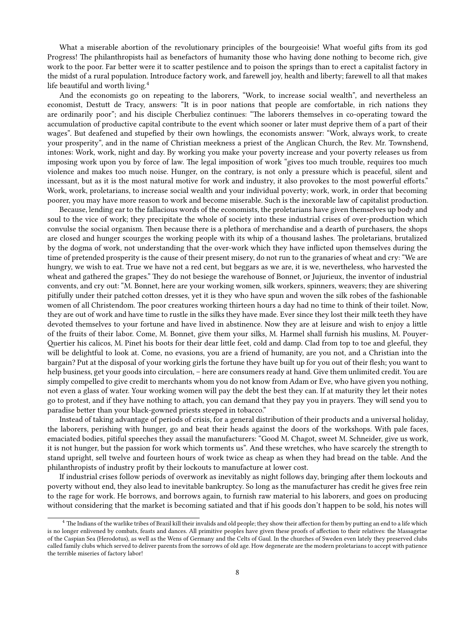What a miserable abortion of the revolutionary principles of the bourgeoisie! What woeful gifts from its god Progress! The philanthropists hail as benefactors of humanity those who having done nothing to become rich, give work to the poor. Far better were it to scatter pestilence and to poison the springs than to erect a capitalist factory in the midst of a rural population. Introduce factory work, and farewell joy, health and liberty; farewell to all that makes life beautiful and worth living.<sup>4</sup>

And the economists go on repeating to the laborers, "Work, to increase social wealth", and nevertheless an economist, Destutt de Tracy, answers: "It is in poor nations that people are comfortable, in rich nations they are ordinarily poor"; and his disciple Cherbuliez continues: "The laborers themselves in co-operating toward the accumulation of productive capital contribute to the event which sooner or later must deprive them of a part of their wages". But deafened and stupefied by their own howlings, the economists answer: "Work, always work, to create your prosperity", and in the name of Christian meekness a priest of the Anglican Church, the Rev. Mr. Townshend, intones: Work, work, night and day. By working you make your poverty increase and your poverty releases us from imposing work upon you by force of law. The legal imposition of work "gives too much trouble, requires too much violence and makes too much noise. Hunger, on the contrary, is not only a pressure which is peaceful, silent and incessant, but as it is the most natural motive for work and industry, it also provokes to the most powerful efforts." Work, work, proletarians, to increase social wealth and your individual poverty; work, work, in order that becoming poorer, you may have more reason to work and become miserable. Such is the inexorable law of capitalist production.

Because, lending ear to the fallacious words of the economists, the proletarians have given themselves up body and soul to the vice of work; they precipitate the whole of society into these industrial crises of over-production which convulse the social organism. Then because there is a plethora of merchandise and a dearth of purchasers, the shops are closed and hunger scourges the working people with its whip of a thousand lashes. The proletarians, brutalized by the dogma of work, not understanding that the over-work which they have inflicted upon themselves during the time of pretended prosperity is the cause of their present misery, do not run to the granaries of wheat and cry: "We are hungry, we wish to eat. True we have not a red cent, but beggars as we are, it is we, nevertheless, who harvested the wheat and gathered the grapes." They do not besiege the warehouse of Bonnet, or Jujurieux, the inventor of industrial convents, and cry out: "M. Bonnet, here are your working women, silk workers, spinners, weavers; they are shivering pitifully under their patched cotton dresses, yet it is they who have spun and woven the silk robes of the fashionable women of all Christendom. The poor creatures working thirteen hours a day had no time to think of their toilet. Now, they are out of work and have time to rustle in the silks they have made. Ever since they lost their milk teeth they have devoted themselves to your fortune and have lived in abstinence. Now they are at leisure and wish to enjoy a little of the fruits of their labor. Come, M. Bonnet, give them your silks, M. Harmel shall furnish his muslins, M. Pouyer-Quertier his calicos, M. Pinet his boots for their dear little feet, cold and damp. Clad from top to toe and gleeful, they will be delightful to look at. Come, no evasions, you are a friend of humanity, are you not, and a Christian into the bargain? Put at the disposal of your working girls the fortune they have built up for you out of their flesh; you want to help business, get your goods into circulation, – here are consumers ready at hand. Give them unlimited credit. You are simply compelled to give credit to merchants whom you do not know from Adam or Eve, who have given you nothing, not even a glass of water. Your working women will pay the debt the best they can. If at maturity they let their notes go to protest, and if they have nothing to attach, you can demand that they pay you in prayers. They will send you to paradise better than your black-gowned priests steeped in tobacco."

Instead of taking advantage of periods of crisis, for a general distribution of their products and a universal holiday, the laborers, perishing with hunger, go and beat their heads against the doors of the workshops. With pale faces, emaciated bodies, pitiful speeches they assail the manufacturers: "Good M. Chagot, sweet M. Schneider, give us work, it is not hunger, but the passion for work which torments us". And these wretches, who have scarcely the strength to stand upright, sell twelve and fourteen hours of work twice as cheap as when they had bread on the table. And the philanthropists of industry profit by their lockouts to manufacture at lower cost.

If industrial crises follow periods of overwork as inevitably as night follows day, bringing after them lockouts and poverty without end, they also lead to inevitable bankruptcy. So long as the manufacturer has credit he gives free rein to the rage for work. He borrows, and borrows again, to furnish raw material to his laborers, and goes on producing without considering that the market is becoming satiated and that if his goods don't happen to be sold, his notes will

<sup>4</sup> The Indians of the warlike tribes of Brazil kill their invalids and old people; they show their affection for them by putting an end to a life which is no longer enlivened by combats, feasts and dances. All primitive peoples have given these proofs of affection to their relatives: the Massagetae of the Caspian Sea (Herodotus), as well as the Wens of Germany and the Celts of Gaul. In the churches of Sweden even lately they preserved clubs called family clubs which served to deliver parents from the sorrows of old age. How degenerate are the modern proletarians to accept with patience the terrible miseries of factory labor!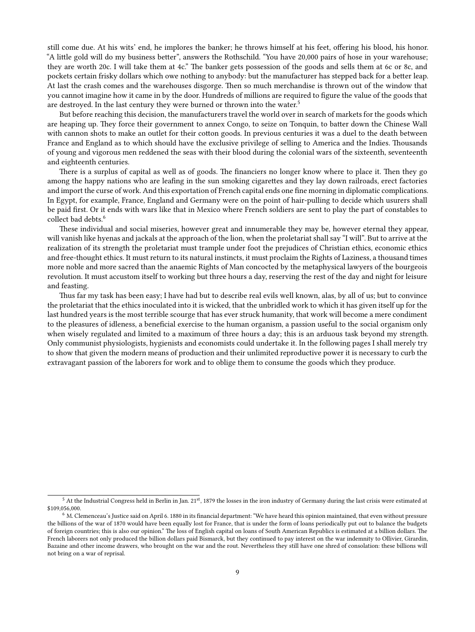still come due. At his wits' end, he implores the banker; he throws himself at his feet, offering his blood, his honor. "A little gold will do my business better", answers the Rothschild. "You have 20,000 pairs of hose in your warehouse; they are worth 20c. I will take them at 4c." The banker gets possession of the goods and sells them at 6c or 8c, and pockets certain frisky dollars which owe nothing to anybody: but the manufacturer has stepped back for a better leap. At last the crash comes and the warehouses disgorge. Then so much merchandise is thrown out of the window that you cannot imagine how it came in by the door. Hundreds of millions are required to figure the value of the goods that are destroyed. In the last century they were burned or thrown into the water.<sup>5</sup>

But before reaching this decision, the manufacturers travel the world over in search of markets for the goods which are heaping up. They force their government to annex Congo, to seize on Tonquin, to batter down the Chinese Wall with cannon shots to make an outlet for their cotton goods. In previous centuries it was a duel to the death between France and England as to which should have the exclusive privilege of selling to America and the Indies. Thousands of young and vigorous men reddened the seas with their blood during the colonial wars of the sixteenth, seventeenth and eighteenth centuries.

There is a surplus of capital as well as of goods. The financiers no longer know where to place it. Then they go among the happy nations who are leafing in the sun smoking cigarettes and they lay down railroads, erect factories and import the curse of work. And this exportation of French capital ends one fine morning in diplomatic complications. In Egypt, for example, France, England and Germany were on the point of hair-pulling to decide which usurers shall be paid first. Or it ends with wars like that in Mexico where French soldiers are sent to play the part of constables to collect bad debts.<sup>6</sup>

These individual and social miseries, however great and innumerable they may be, however eternal they appear, will vanish like hyenas and jackals at the approach of the lion, when the proletariat shall say "I will". But to arrive at the realization of its strength the proletariat must trample under foot the prejudices of Christian ethics, economic ethics and free-thought ethics. It must return to its natural instincts, it must proclaim the Rights of Laziness, a thousand times more noble and more sacred than the anaemic Rights of Man concocted by the metaphysical lawyers of the bourgeois revolution. It must accustom itself to working but three hours a day, reserving the rest of the day and night for leisure and feasting.

Thus far my task has been easy; I have had but to describe real evils well known, alas, by all of us; but to convince the proletariat that the ethics inoculated into it is wicked, that the unbridled work to which it has given itself up for the last hundred years is the most terrible scourge that has ever struck humanity, that work will become a mere condiment to the pleasures of idleness, a beneficial exercise to the human organism, a passion useful to the social organism only when wisely regulated and limited to a maximum of three hours a day; this is an arduous task beyond my strength. Only communist physiologists, hygienists and economists could undertake it. In the following pages I shall merely try to show that given the modern means of production and their unlimited reproductive power it is necessary to curb the extravagant passion of the laborers for work and to oblige them to consume the goods which they produce.

 $5$  At the Industrial Congress held in Berlin in Jan. 21st, 1879 the losses in the iron industry of Germany during the last crisis were estimated at \$109,056,000.

 $6$  M. Clemenceau's Justice said on April 6. 1880 in its financial department: "We have heard this opinion maintained, that even without pressure the billions of the war of 1870 would have been equally lost for France, that is under the form of loans periodically put out to balance the budgets of foreign countries; this is also our opinion." The loss of English capital on loans of South American Republics is estimated at a billion dollars. The French laborers not only produced the billion dollars paid Bismarck, but they continued to pay interest on the war indemnity to Ollivier, Girardin, Bazaine and other income drawers, who brought on the war and the rout. Nevertheless they still have one shred of consolation: these billions will not bring on a war of reprisal.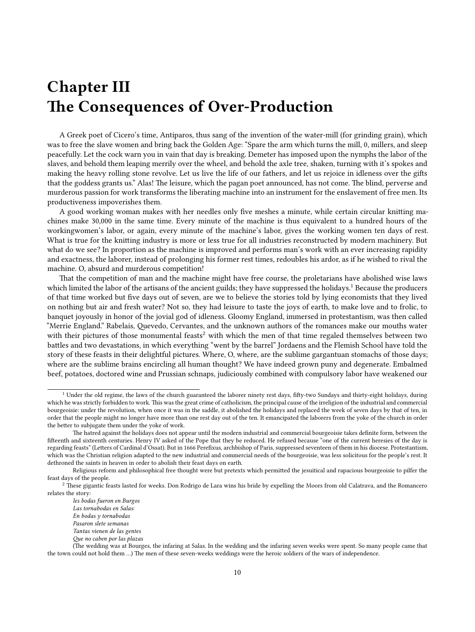## <span id="page-9-0"></span>**Chapter III The Consequences of Over-Production**

A Greek poet of Cicero's time, Antiparos, thus sang of the invention of the water-mill (for grinding grain), which was to free the slave women and bring back the Golden Age: "Spare the arm which turns the mill, 0, millers, and sleep peacefully. Let the cock warn you in vain that day is breaking. Demeter has imposed upon the nymphs the labor of the slaves, and behold them leaping merrily over the wheel, and behold the axle tree, shaken, turning with it's spokes and making the heavy rolling stone revolve. Let us live the life of our fathers, and let us rejoice in idleness over the gifts that the goddess grants us." Alas! The leisure, which the pagan poet announced, has not come. The blind, perverse and murderous passion for work transforms the liberating machine into an instrument for the enslavement of free men. Its productiveness impoverishes them.

A good working woman makes with her needles only five meshes a minute, while certain circular knitting machines make 30,000 in the same time. Every minute of the machine is thus equivalent to a hundred hours of the workingwomen's labor, or again, every minute of the machine's labor, gives the working women ten days of rest. What is true for the knitting industry is more or less true for all industries reconstructed by modern machinery. But what do we see? In proportion as the machine is improved and performs man's work with an ever increasing rapidity and exactness, the laborer, instead of prolonging his former rest times, redoubles his ardor, as if he wished to rival the machine. O, absurd and murderous competition!

That the competition of man and the machine might have free course, the proletarians have abolished wise laws which limited the labor of the artisans of the ancient guilds; they have suppressed the holidays.<sup>1</sup> Because the producers of that time worked but five days out of seven, are we to believe the stories told by lying economists that they lived on nothing but air and fresh water? Not so, they had leisure to taste the joys of earth, to make love and to frolic, to banquet joyously in honor of the jovial god of idleness. Gloomy England, immersed in protestantism, was then called "Merrie England." Rabelais, Quevedo, Cervantes, and the unknown authors of the romances make our mouths water with their pictures of those monumental feasts<sup>2</sup> with which the men of that time regaled themselves between two battles and two devastations, in which everything "went by the barrel" Jordaens and the Flemish School have told the story of these feasts in their delightful pictures. Where, O, where, are the sublime gargantuan stomachs of those days; where are the sublime brains encircling all human thought? We have indeed grown puny and degenerate. Embalmed beef, potatoes, doctored wine and Prussian schnaps, judiciously combined with compulsory labor have weakened our

<sup>&</sup>lt;sup>1</sup> Under the old regime, the laws of the church guaranteed the laborer ninety rest days, fifty-two Sundays and thirty-eight holidays, during which he was strictly forbidden to work. This was the great crime of catholicism, the principal cause of the irreligion of the industrial and commercial bourgeoisie: under the revolution, when once it was in the saddle, it abolished the holidays and replaced the week of seven days by that of ten, in order that the people might no longer have more than one rest day out of the ten. It emancipated the laborers from the yoke of the church in order the better to subjugate them under the yoke of work.

The hatred against the holidays does not appear until the modern industrial and commercial bourgeoisie takes definite form, between the fifteenth and sixteenth centuries. Henry IV asked of the Pope that they be reduced. He refused because "one of the current heresies of the day is regarding feasts" (Letters of Cardinal d'Ossat). But in 1666 Perefixus, archbishop of Paris, suppressed seventeen of them in his diocese. Protestantism, which was the Christian religion adapted to the new industrial and commercial needs of the bourgeoisie, was less solicitous for the people's rest. It dethroned the saints in heaven in order to abolish their feast days on earth.

Religious reform and philosophical free thought were but pretexts which permitted the jesuitical and rapacious bourgeoisie to pilfer the feast days of the people.

<sup>&</sup>lt;sup>2</sup> These gigantic feasts lasted for weeks. Don Rodrigo de Lara wins his bride by expelling the Moors from old Calatrava, and the Romancero relates the story:

*les bodas fueron en Burgos*

*Las tornabodas en Salas:*

*En bodas y tornabodas*

*Pasaron slete semanas*

*Tantas vienen de las gentes Que no caben por las plazas*

<sup>(</sup>The wedding was at Bourges, the infaring at Salas. In the wedding and the infaring seven weeks were spent. So many people came that the town could not hold them …) The men of these seven-weeks weddings were the heroic soldiers of the wars of independence.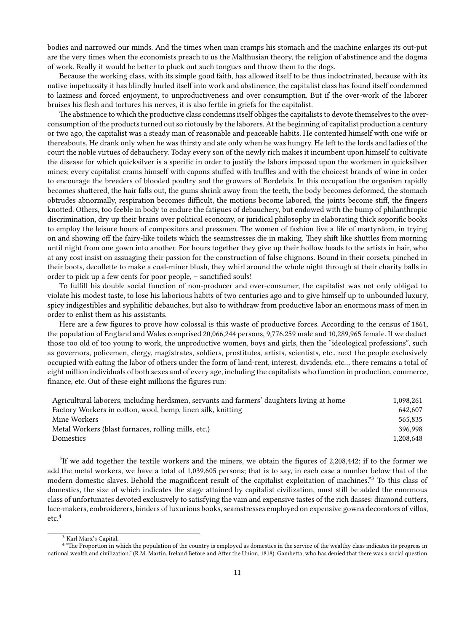bodies and narrowed our minds. And the times when man cramps his stomach and the machine enlarges its out-put are the very times when the economists preach to us the Malthusian theory, the religion of abstinence and the dogma of work. Really it would be better to pluck out such tongues and throw them to the dogs.

Because the working class, with its simple good faith, has allowed itself to be thus indoctrinated, because with its native impetuosity it has blindly hurled itself into work and abstinence, the capitalist class has found itself condemned to laziness and forced enjoyment, to unproductiveness and over consumption. But if the over-work of the laborer bruises his flesh and tortures his nerves, it is also fertile in griefs for the capitalist.

The abstinence to which the productive class condemns itself obliges the capitalists to devote themselves to the overconsumption of the products turned out so riotously by the laborers. At the beginning of capitalist production a century or two ago, the capitalist was a steady man of reasonable and peaceable habits. He contented himself with one wife or thereabouts. He drank only when he was thirsty and ate only when he was hungry. He left to the lords and ladies of the court the noble virtues of debauchery. Today every son of the newly rich makes it incumbent upon himself to cultivate the disease for which quicksilver is a specific in order to justify the labors imposed upon the workmen in quicksilver mines; every capitalist crams himself with capons stuffed with truffles and with the choicest brands of wine in order to encourage the breeders of blooded poultry and the growers of Bordelais. In this occupation the organism rapidly becomes shattered, the hair falls out, the gums shrink away from the teeth, the body becomes deformed, the stomach obtrudes abnormally, respiration becomes difficult, the motions become labored, the joints become stiff, the fingers knotted. Others, too feeble in body to endure the fatigues of debauchery, but endowed with the bump of philanthropic discrimination, dry up their brains over political economy, or juridical philosophy in elaborating thick soporific books to employ the leisure hours of compositors and pressmen. The women of fashion live a life of martyrdom, in trying on and showing off the fairy-like toilets which the seamstresses die in making. They shift like shuttles from morning until night from one gown into another. For hours together they give up their hollow heads to the artists in hair, who at any cost insist on assuaging their passion for the construction of false chignons. Bound in their corsets, pinched in their boots, decollette to make a coal-miner blush, they whirl around the whole night through at their charity balls in order to pick up a few cents for poor people, – sanctified souls!

To fulfill his double social function of non-producer and over-consumer, the capitalist was not only obliged to violate his modest taste, to lose his laborious habits of two centuries ago and to give himself up to unbounded luxury, spicy indigestibles and syphilitic debauches, but also to withdraw from productive labor an enormous mass of men in order to enlist them as his assistants.

Here are a few figures to prove how colossal is this waste of productive forces. According to the census of 1861, the population of England and Wales comprised 20,066,244 persons, 9,776,259 male and 10,289,965 female. If we deduct those too old of too young to work, the unproductive women, boys and girls, then the "ideological professions", such as governors, policemen, clergy, magistrates, soldiers, prostitutes, artists, scientists, etc., next the people exclusively occupied with eating the labor of others under the form of land-rent, interest, dividends, etc… there remains a total of eight million individuals of both sexes and of every age, including the capitalists who function in production, commerce, finance, etc. Out of these eight millions the figures run:

| Agricultural laborers, including herdsmen, servants and farmers' daughters living at home | 1.098.261 |
|-------------------------------------------------------------------------------------------|-----------|
| Factory Workers in cotton, wool, hemp, linen silk, knitting                               | 642,607   |
| Mine Workers                                                                              | 565.835   |
| Metal Workers (blast furnaces, rolling mills, etc.)                                       | 396.998   |
| Domestics                                                                                 | 1.208.648 |

"If we add together the textile workers and the miners, we obtain the figures of 2,208,442; if to the former we add the metal workers, we have a total of 1,039,605 persons; that is to say, in each case a number below that of the modern domestic slaves. Behold the magnificent result of the capitalist exploitation of machines."<sup>3</sup> To this class of domestics, the size of which indicates the stage attained by capitalist civilization, must still be added the enormous class of unfortunates devoted exclusively to satisfying the vain and expensive tastes of the rich dasses: diamond cutters, lace-makers, embroiderers, binders of luxurious books, seamstresses employed on expensive gowns decorators of villas, etc.<sup>4</sup>

<sup>3</sup> Karl Marx's Capital.

<sup>&</sup>lt;sup>4</sup> "The Proportion in which the population of the country is employed as domestics in the service of the wealthy class indicates its progress in national wealth and civilization." (R.M. Martin, Ireland Before and After the Union, 1818). Gambetta, who has denied that there was a social question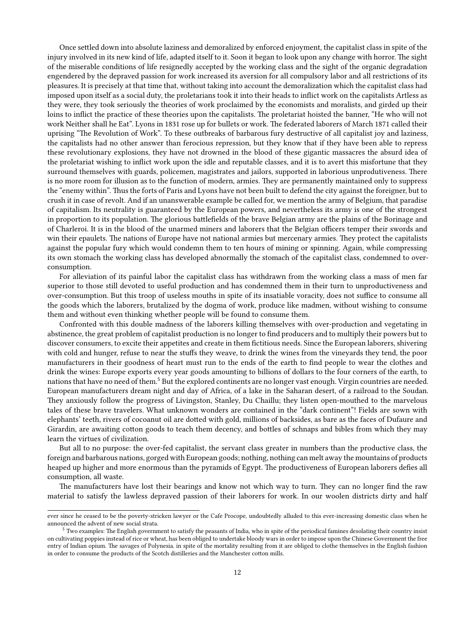Once settled down into absolute laziness and demoralized by enforced enjoyment, the capitalist class in spite of the injury involved in its new kind of life, adapted itself to it. Soon it began to look upon any change with horror. The sight of the miserable conditions of life resignedly accepted by the working class and the sight of the organic degradation engendered by the depraved passion for work increased its aversion for all compulsory labor and all restrictions of its pleasures. It is precisely at that time that, without taking into account the demoralization which the capitalist class had imposed upon itself as a social duty, the proletarians took it into their heads to inflict work on the capitalists Artless as they were, they took seriously the theories of work proclaimed by the economists and moralists, and girded up their loins to inflict the practice of these theories upon the capitalists. The proletariat hoisted the banner, "He who will not work Neither shall he Eat". Lyons in 1831 rose up for bullets or work. The federated laborers of March 1871 called their uprising "The Revolution of Work". To these outbreaks of barbarous fury destructive of all capitalist joy and laziness, the capitalists had no other answer than ferocious repression, but they know that if they have been able to repress these revolutionary explosions, they have not drowned in the blood of these gigantic massacres the absurd idea of the proletariat wishing to inflict work upon the idle and reputable classes, and it is to avert this misfortune that they surround themselves with guards, policemen, magistrates and jailors, supported in laborious unprodutiveness. There is no more room for illusion as to the function of modern, armies. They are permanently maintained only to suppress the "enemy within". Thus the forts of Paris and Lyons have not been built to defend the city against the foreigner, but to crush it in case of revolt. And if an unanswerable example be called for, we mention the army of Belgium, that paradise of capitalism. Its neutrality is guaranteed by the European powers, and nevertheless its army is one of the strongest in proportion to its population. The glorious battlefields of the brave Belgian army are the plains of the Borinage and of Charleroi. It is in the blood of the unarmed miners and laborers that the Belgian officers temper their swords and win their epaulets. The nations of Europe have not national armies but mercenary armies. They protect the capitalists against the popular fury which would condemn them to ten hours of mining or spinning. Again, while compressing its own stomach the working class has developed abnormally the stomach of the capitalist class, condemned to overconsumption.

For alleviation of its painful labor the capitalist class has withdrawn from the working class a mass of men far superior to those still devoted to useful production and has condemned them in their turn to unproductiveness and over-consumption. But this troop of useless mouths in spite of its insatiable voracity, does not suffice to consume all the goods which the laborers, brutalized by the dogma of work, produce like madmen, without wishing to consume them and without even thinking whether people will be found to consume them.

Confronted with this double madness of the laborers killing themselves with over-production and vegetating in abstinence, the great problem of capitalist production is no longer to find producers and to multiply their powers but to discover consumers, to excite their appetites and create in them fictitious needs. Since the European laborers, shivering with cold and hunger, refuse to near the stuffs they weave, to drink the wines from the vineyards they tend, the poor manufacturers in their goodness of heart must run to the ends of the earth to find people to wear the clothes and drink the wines: Europe exports every year goods amounting to billions of dollars to the four corners of the earth, to nations that have no need of them.<sup>5</sup> But the explored continents are no longer vast enough. Virgin countries are needed. European manufacturers dream night and day of Africa, of a lake in the Saharan desert, of a railroad to the Soudan. They anxiously follow the progress of Livingston, Stanley, Du Chaillu; they listen open-mouthed to the marvelous tales of these brave travelers. What unknown wonders are contained in the "dark continent"! Fields are sown with elephants' teeth, rivers of cocoanut oil are dotted with gold, millions of backsides, as bare as the faces of Dufaure and Girardin, are awaiting cotton goods to teach them decency, and bottles of schnaps and bibles from which they may learn the virtues of civilization.

But all to no purpose: the over-fed capitalist, the servant class greater in numbers than the productive class, the foreign and barbarous nations, gorged with European goods; nothing, nothing can melt away the mountains of products heaped up higher and more enormous than the pyramids of Egypt. The productiveness of European laborers defies all consumption, all waste.

The manufacturers have lost their bearings and know not which way to turn. They can no longer find the raw material to satisfy the lawless depraved passion of their laborers for work. In our woolen districts dirty and half

ever since he ceased to be the poverty-stricken lawyer or the Cafe Procope, undoubtedly alluded to this ever-increasing domestic class when he announced the advent of new social strata.

<sup>5</sup> Two examples: The English government to satisfy the peasants of India, who in spite of the periodical famines desolating their country insist on cultivating poppies instead of rice or wheat, has been obliged to undertake bloody wars in order to impose upon the Chinese Government the free entry of Indian opium. The savages of Polynesia. in spite of the mortality resulting from it are obliged to clothe themselves in the English fashion in order to consume the products of the Scotch distilleries and the Manchester cotton mills.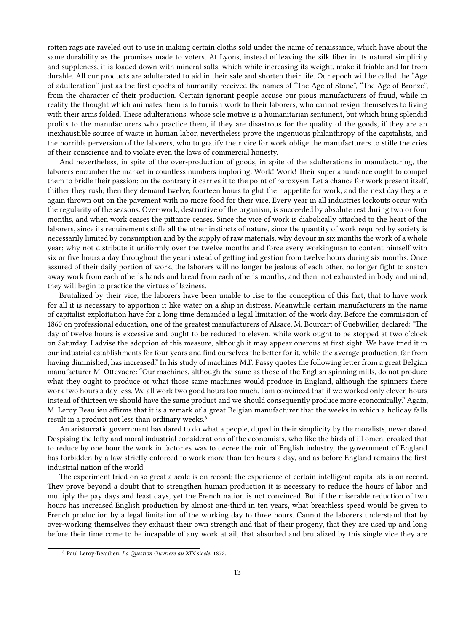rotten rags are raveled out to use in making certain cloths sold under the name of renaissance, which have about the same durability as the promises made to voters. At Lyons, instead of leaving the silk fiber in its natural simplicity and suppleness, it is loaded down with mineral salts, which while increasing its weight, make it friable and far from durable. All our products are adulterated to aid in their sale and shorten their life. Our epoch will be called the "Age of adulteration" just as the first epochs of humanity received the names of "The Age of Stone", "The Age of Bronze", from the character of their production. Certain ignorant people accuse our pious manufacturers of fraud, while in reality the thought which animates them is to furnish work to their laborers, who cannot resign themselves to living with their arms folded. These adulterations, whose sole motive is a humanitarian sentiment, but which bring splendid profits to the manufacturers who practice them, if they are disastrous for the quality of the goods, if they are an inexhaustible source of waste in human labor, nevertheless prove the ingenuous philanthropy of the capitalists, and the horrible perversion of the laborers, who to gratify their vice for work oblige the manufacturers to stifle the cries of their conscience and to violate even the laws of commercial honesty.

And nevertheless, in spite of the over-production of goods, in spite of the adulterations in manufacturing, the laborers encumber the market in countless numbers imploring: Work! Work! Their super abundance ought to compel them to bridle their passion; on the contrary it carries it to the point of paroxysm. Let a chance for work present itself, thither they rush; then they demand twelve, fourteen hours to glut their appetite for work, and the next day they are again thrown out on the pavement with no more food for their vice. Every year in all industries lockouts occur with the regularity of the seasons. Over-work, destructive of the organism, is succeeded by absolute rest during two or four months, and when work ceases the pittance ceases. Since the vice of work is diabolically attached to the heart of the laborers, since its requirements stifle all the other instincts of nature, since the quantity of work required by society is necessarily limited by consumption and by the supply of raw materials, why devour in six months the work of a whole year; why not distribute it uniformly over the twelve months and force every workingman to content himself with six or five hours a day throughout the year instead of getting indigestion from twelve hours during six months. Once assured of their daily portion of work, the laborers will no longer be jealous of each other, no longer fight to snatch away work from each other's hands and bread from each other's mouths, and then, not exhausted in body and mind, they will begin to practice the virtues of laziness.

Brutalized by their vice, the laborers have been unable to rise to the conception of this fact, that to have work for all it is necessary to apportion it like water on a ship in distress. Meanwhile certain manufacturers in the name of capitalist exploitation have for a long time demanded a legal limitation of the work day. Before the commission of 1860 on professional education, one of the greatest manufacturers of Alsace, M. Bourcart of Guebwiller, declared: "The day of twelve hours is excessive and ought to be reduced to eleven, while work ought to be stopped at two o'clock on Saturday. I advise the adoption of this measure, although it may appear onerous at first sight. We have tried it in our industrial establishments for four years and find ourselves the better for it, while the average production, far from having diminished, has increased." In his study of machines M.F. Passy quotes the following letter from a great Belgian manufacturer M. Ottevaere: "Our machines, although the same as those of the English spinning mills, do not produce what they ought to produce or what those same machines would produce in England, although the spinners there work two hours a day less. We all work two good hours too much. I am convinced that if we worked only eleven hours instead of thirteen we should have the same product and we should consequently produce more economically." Again, M. Leroy Beaulieu affirms that it is a remark of a great Belgian manufacturer that the weeks in which a holiday falls result in a product not less than ordinary weeks.<sup>6</sup>

An aristocratic government has dared to do what a people, duped in their simplicity by the moralists, never dared. Despising the lofty and moral industrial considerations of the economists, who like the birds of ill omen, croaked that to reduce by one hour the work in factories was to decree the ruin of English industry, the government of England has forbidden by a law strictly enforced to work more than ten hours a day, and as before England remains the first industrial nation of the world.

The experiment tried on so great a scale is on record; the experience of certain intelligent capitalists is on record. They prove beyond a doubt that to strengthen human production it is necessary to reduce the hours of labor and multiply the pay days and feast days, yet the French nation is not convinced. But if the miserable reduction of two hours has increased English production by almost one-third in ten years, what breathless speed would be given to French production by a legal limitation of the working day to three hours. Cannot the laborers understand that by over-working themselves they exhaust their own strength and that of their progeny, that they are used up and long before their time come to be incapable of any work at ail, that absorbed and brutalized by this single vice they are

<sup>6</sup> Paul Leroy-Beaulieu, *La Question Ouvriere au XIX siecle*, 1872.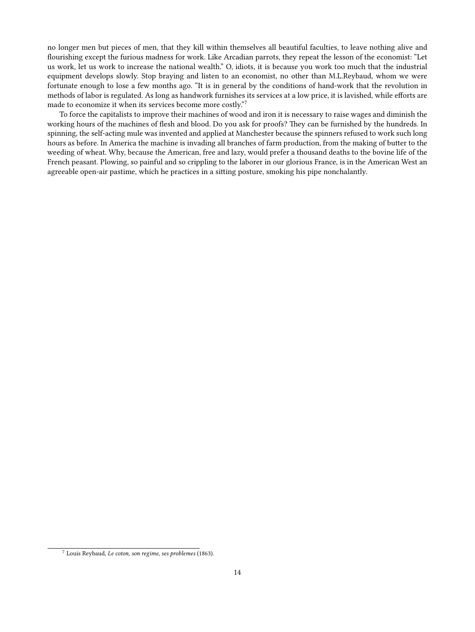no longer men but pieces of men, that they kill within themselves all beautiful faculties, to leave nothing alive and flourishing except the furious madness for work. Like Arcadian parrots, they repeat the lesson of the economist: "Let us work, let us work to increase the national wealth." O, idiots, it is because you work too much that the industrial equipment develops slowly. Stop braying and listen to an economist, no other than M.L.Reybaud, whom we were fortunate enough to lose a few months ago. "It is in general by the conditions of hand-work that the revolution in methods of labor is regulated. As long as handwork furnishes its services at a low price, it is lavished, while efforts are made to economize it when its services become more costly."<sup>7</sup>

To force the capitalists to improve their machines of wood and iron it is necessary to raise wages and diminish the working hours of the machines of flesh and blood. Do you ask for proofs? They can be furnished by the hundreds. In spinning, the self-acting mule was invented and applied at Manchester because the spinners refused to work such long hours as before. In America the machine is invading all branches of farm production, from the making of butter to the weeding of wheat. Why, because the American, free and lazy, would prefer a thousand deaths to the bovine life of the French peasant. Plowing, so painful and so crippling to the laborer in our glorious France, is in the American West an agreeable open-air pastime, which he practices in a sitting posture, smoking his pipe nonchalantly.

<sup>7</sup> Louis Reybaud, *Le coton, son regime, ses problemes* (1863).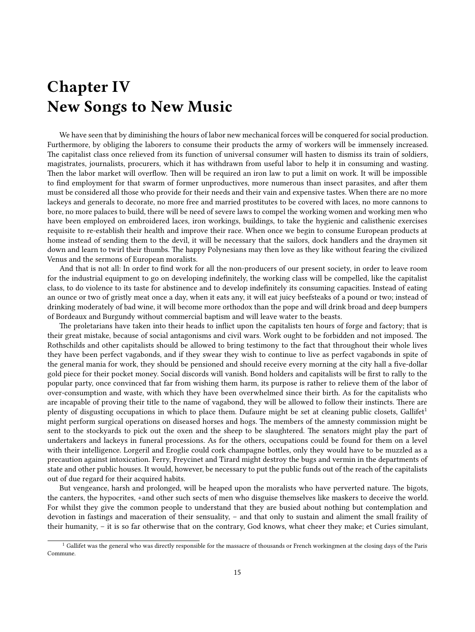### <span id="page-14-0"></span>**Chapter IV New Songs to New Music**

We have seen that by diminishing the hours of labor new mechanical forces will be conquered for social production. Furthermore, by obliging the laborers to consume their products the army of workers will be immensely increased. The capitalist class once relieved from its function of universal consumer will hasten to dismiss its train of soldiers, magistrates, journalists, procurers, which it has withdrawn from useful labor to help it in consuming and wasting. Then the labor market will overflow. Then will be required an iron law to put a limit on work. It will be impossible to find employment for that swarm of former unproductives, more numerous than insect parasites, and after them must be considered all those who provide for their needs and their vain and expensive tastes. When there are no more lackeys and generals to decorate, no more free and married prostitutes to be covered with laces, no more cannons to bore, no more palaces to build, there will be need of severe laws to compel the working women and working men who have been employed on embroidered laces, iron workings, buildings, to take the hygienic and calisthenic exercises requisite to re-establish their health and improve their race. When once we begin to consume European products at home instead of sending them to the devil, it will be necessary that the sailors, dock handlers and the draymen sit down and learn to twirl their thumbs. The happy Polynesians may then love as they like without fearing the civilized Venus and the sermons of European moralists.

And that is not all: In order to find work for all the non-producers of our present society, in order to leave room for the industrial equipment to go on developing indefinitely, the working class will be compelled, like the capitalist class, to do violence to its taste for abstinence and to develop indefinitely its consuming capacities. Instead of eating an ounce or two of gristly meat once a day, when it eats any, it will eat juicy beefsteaks of a pound or two; instead of drinking moderately of bad wine, it will become more orthodox than the pope and will drink broad and deep bumpers of Bordeaux and Burgundy without commercial baptism and will leave water to the beasts.

The proletarians have taken into their heads to inflict upon the capitalists ten hours of forge and factory; that is their great mistake, because of social antagonisms and civil wars. Work ought to be forbidden and not imposed. The Rothschilds and other capitalists should be allowed to bring testimony to the fact that throughout their whole lives they have been perfect vagabonds, and if they swear they wish to continue to live as perfect vagabonds in spite of the general mania for work, they should be pensioned and should receive every morning at the city hall a five-dollar gold piece for their pocket money. Social discords will vanish. Bond holders and capitalists will be first to rally to the popular party, once convinced that far from wishing them harm, its purpose is rather to relieve them of the labor of over-consumption and waste, with which they have been overwhelmed since their birth. As for the capitalists who are incapable of proving their title to the name of vagabond, they will be allowed to follow their instincts. There are plenty of disgusting occupations in which to place them. Dufaure might be set at cleaning public closets, Gallifet<sup>1</sup> might perform surgical operations on diseased horses and hogs. The members of the amnesty commission might be sent to the stockyards to pick out the oxen and the sheep to be slaughtered. The senators might play the part of undertakers and lackeys in funeral processions. As for the others, occupations could be found for them on a level with their intelligence. Lorgeril and Eroglie could cork champagne bottles, only they would have to be muzzled as a precaution against intoxication. Ferry, Freycinet and Tirard might destroy the bugs and vermin in the departments of state and other public houses. It would, however, be necessary to put the public funds out of the reach of the capitalists out of due regard for their acquired habits.

But vengeance, harsh and prolonged, will be heaped upon the moralists who have perverted nature. The bigots, the canters, the hypocrites, +and other such sects of men who disguise themselves like maskers to deceive the world. For whilst they give the common people to understand that they are busied about nothing but contemplation and devotion in fastings and maceration of their sensuality, – and that only to sustain and aliment the small fraility of their humanity, – it is so far otherwise that on the contrary, God knows, what cheer they make; et Curies simulant,

 $<sup>1</sup>$  Gallifet was the general who was directly responsible for the massacre of thousands or French workingmen at the closing days of the Paris</sup> Commune.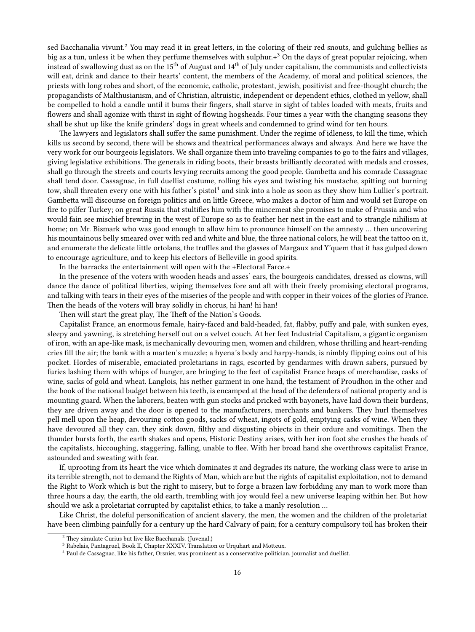sed Bacchanalia vivunt.<sup>2</sup> You may read it in great letters, in the coloring of their red snouts, and gulching bellies as big as a tun, unless it be when they perfume themselves with sulphur. $+3$  On the days of great popular rejoicing, when instead of swallowing dust as on the 15<sup>th</sup> of August and  $14<sup>th</sup>$  of July under capitalism, the communists and collectivists will eat, drink and dance to their hearts' content, the members of the Academy, of moral and political sciences, the priests with long robes and short, of the economic, catholic, protestant, jewish, positivist and free-thought church; the propagandists of Malthusianism, and of Christian, altruistic, independent or dependent ethics, clothed in yellow, shall be compelled to hold a candle until it bums their fingers, shall starve in sight of tables loaded with meats, fruits and flowers and shall agonize with thirst in sight of flowing hogsheads. Four times a year with the changing seasons they shall be shut up like the knife grinders' dogs in great wheels and condemned to grind wind for ten hours.

The lawyers and legislators shall suffer the same punishment. Under the regime of idleness, to kill the time, which kills us second by second, there will be shows and theatrical performances always and always. And here we have the very work for our bourgeois legislators. We shall organize them into traveling companies to go to the fairs and villages, giving legislative exhibitions. The generals in riding boots, their breasts brilliantly decorated with medals and crosses, shall go through the streets and courts levying recruits among the good people. Gambetta and his comrade Cassagnac shall tend door. Cassagnac, in full duellist costume, rolling his eyes and twisting his mustache, spitting out burning tow, shall threaten every one with his father's pistol<sup>4</sup> and sink into a hole as soon as they show him Lullier's portrait. Gambetta will discourse on foreign politics and on little Greece, who makes a doctor of him and would set Europe on fire to pilfer Turkey; on great Russia that stultifies him with the mincemeat she promises to make of Prussia and who would fain see mischief brewing in the west of Europe so as to feather her nest in the east and to strangle nihilism at home; on Mr. Bismark who was good enough to allow him to pronounce himself on the amnesty … then uncovering his mountainous belly smeared over with red and white and blue, the three national colors, he will beat the tattoo on it, and enumerate the delicate little ortolans, the truffles and the glasses of Margaux and Y'quem that it has gulped down to encourage agriculture, and to keep his electors of Belleville in good spirits.

In the barracks the entertainment will open with the +Electoral Farce.+

In the presence of the voters with wooden heads and asses' ears, the bourgeois candidates, dressed as clowns, will dance the dance of political liberties, wiping themselves fore and aft with their freely promising electoral programs, and talking with tears in their eyes of the miseries of the people and with copper in their voices of the glories of France. Then the heads of the voters will bray solidly in chorus, hi han! hi han!

Then will start the great play, The Theft of the Nation's Goods.

Capitalist France, an enormous female, hairy-faced and bald-headed, fat, flabby, puffy and pale, with sunken eyes, sleepy and yawning, is stretching herself out on a velvet couch. At her feet Industrial Capitalism, a gigantic organism of iron, with an ape-like mask, is mechanically devouring men, women and children, whose thrilling and heart-rending cries fill the air; the bank with a marten's muzzle; a hyena's body and harpy-hands, is nimbly flipping coins out of his pocket. Hordes of miserable, emaciated proletarians in rags, escorted by gendarmes with drawn sabers, pursued by furies lashing them with whips of hunger, are bringing to the feet of capitalist France heaps of merchandise, casks of wine, sacks of gold and wheat. Langlois, his nether garment in one hand, the testament of Proudhon in the other and the book of the national budget between his teeth, is encamped at the head of the defenders of national property and is mounting guard. When the laborers, beaten with gun stocks and pricked with bayonets, have laid down their burdens, they are driven away and the door is opened to the manufacturers, merchants and bankers. They hurl themselves pell mell upon the heap, devouring cotton goods, sacks of wheat, ingots of gold, emptying casks of wine. When they have devoured all they can, they sink down, filthy and disgusting objects in their ordure and vomitings. Then the thunder bursts forth, the earth shakes and opens, Historic Destiny arises, with her iron foot she crushes the heads of the capitalists, hiccoughing, staggering, falling, unable to flee. With her broad hand she overthrows capitalist France, astounded and sweating with fear.

If, uprooting from its heart the vice which dominates it and degrades its nature, the working class were to arise in its terrible strength, not to demand the Rights of Man, which are but the rights of capitalist exploitation, not to demand the Right to Work which is but the right to misery, but to forge a brazen law forbidding any man to work more than three hours a day, the earth, the old earth, trembling with joy would feel a new universe leaping within her. But how should we ask a proletariat corrupted by capitalist ethics, to take a manly resolution …

Like Christ, the doleful personification of ancient slavery, the men, the women and the children of the proletariat have been climbing painfully for a century up the hard Calvary of pain; for a century compulsory toil has broken their

<sup>2</sup> They simulate Curius but live like Bacchanals. (Juvenal.)

<sup>3</sup> Rabelais, Pantagruel, Book II, Chapter XXXIV. Translation or Urquhart and Motteux.

<sup>4</sup> Paul de Cassagnac, like his father, Orsnier, was prominent as a conservative politician, journalist and duellist.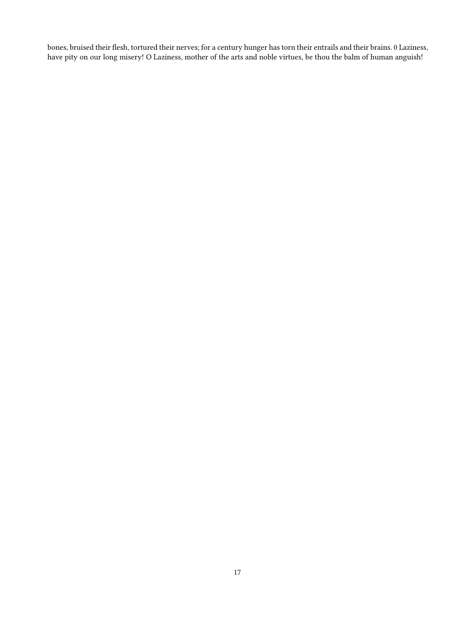bones, bruised their flesh, tortured their nerves; for a century hunger has torn their entrails and their brains. 0 Laziness, have pity on our long misery! O Laziness, mother of the arts and noble virtues, be thou the balm of human anguish!